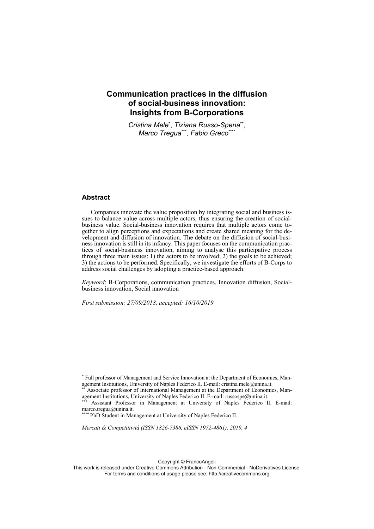# **Communication practices in the diffusion of social-business innovation: Insights from B-Corporations**

*Cristina Mele*\* , *Tiziana Russo-Spena*\*\*, *Marco Tregua*\*\*\**, Fabio Greco*\*\*\*\*

### **Abstract**

Companies innovate the value proposition by integrating social and business issues to balance value across multiple actors, thus ensuring the creation of socialbusiness value. Social-business innovation requires that multiple actors come together to align perceptions and expectations and create shared meaning for the development and diffusion of innovation. The debate on the diffusion of social-business innovation is still in its infancy. This paper focuses on the communication practices of social-business innovation, aiming to analyse this participative process through three main issues: 1) the actors to be involved; 2) the goals to be achieved; 3) the actions to be performed. Specifically, we investigate the efforts of B-Corps to address social challenges by adopting a practice-based approach.

*Keyword*: B-Corporations, communication practices, Innovation diffusion, Socialbusiness innovation, Social innovation

*First submission: 27/09/2018, accepted: 16/10/2019* 

Assistant Professor in Management at University of Naples Federico II. E-mail: marco.tregua@unina.it.

\* PhD Student in Management at University of Naples Federico II.

*Mercati & Competitività (ISSN 1826-7386, eISSN 1972-4861), 2019, 4*

Copyright © FrancoAngeli

<sup>\*</sup> Full professor of Management and Service Innovation at the Department of Economics, Man-

agement Institutions, University of Naples Federico II. E-mail: cristina.mele@unina.it.<br>
\*\* Associate professor of International Management at the Department of Economics, Man-<br>
agement Institutions, University of Naples F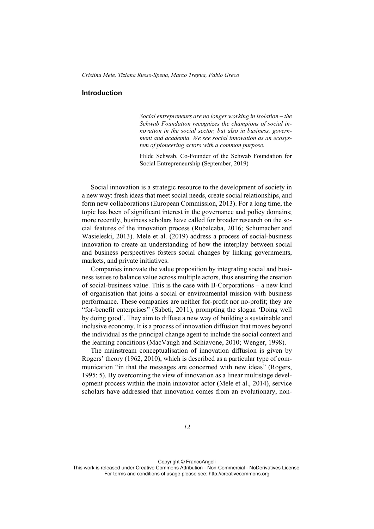# **Introduction**

*Social entrepreneurs are no longer working in isolation – the Schwab Foundation recognizes the champions of social innovation in the social sector, but also in business, government and academia. We see social innovation as an ecosystem of pioneering actors with a common purpose.*

Hilde Schwab, Co-Founder of the Schwab Foundation for Social Entrepreneurship (September, 2019)

Social innovation is a strategic resource to the development of society in a new way: fresh ideas that meet social needs, create social relationships, and form new collaborations (European Commission, 2013). For a long time, the topic has been of significant interest in the governance and policy domains; more recently, business scholars have called for broader research on the social features of the innovation process (Rubalcaba, 2016; Schumacher and Wasieleski, 2013). Mele et al. (2019) address a process of social-business innovation to create an understanding of how the interplay between social and business perspectives fosters social changes by linking governments, markets, and private initiatives.

Companies innovate the value proposition by integrating social and business issues to balance value across multiple actors, thus ensuring the creation of social-business value. This is the case with B-Corporations – a new kind of organisation that joins a social or environmental mission with business performance. These companies are neither for-profit nor no-profit; they are "for-benefit enterprises" (Sabeti, 2011), prompting the slogan 'Doing well by doing good'. They aim to diffuse a new way of building a sustainable and inclusive economy. It is a process of innovation diffusion that moves beyond the individual as the principal change agent to include the social context and the learning conditions (MacVaugh and Schiavone, 2010; Wenger, 1998).

The mainstream conceptualisation of innovation diffusion is given by Rogers' theory (1962, 2010), which is described as a particular type of communication "in that the messages are concerned with new ideas" (Rogers, 1995: 5). By overcoming the view of innovation as a linear multistage development process within the main innovator actor (Mele et al., 2014), service scholars have addressed that innovation comes from an evolutionary, non-

Copyright © FrancoAngeli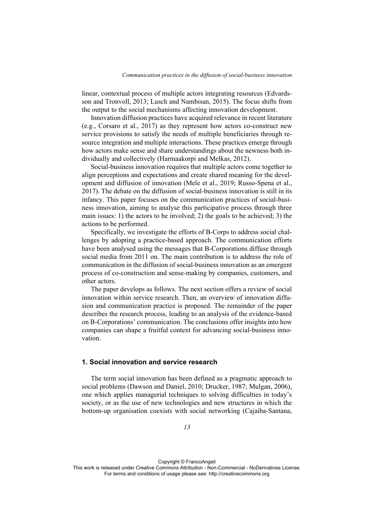linear, contextual process of multiple actors integrating resources (Edvardsson and Tronvoll, 2013; Lusch and Nambisan, 2015). The focus shifts from the output to the social mechanisms affecting innovation development.

Innovation diffusion practices have acquired relevance in recent literature (e.g., Corsaro et al., 2017) as they represent how actors co-construct new service provisions to satisfy the needs of multiple beneficiaries through resource integration and multiple interactions. These practices emerge through how actors make sense and share understandings about the newness both individually and collectively (Harmaakorpi and Melkas, 2012).

Social-business innovation requires that multiple actors come together to align perceptions and expectations and create shared meaning for the development and diffusion of innovation (Mele et al., 2019; Russo-Spena et al., 2017). The debate on the diffusion of social-business innovation is still in its infancy. This paper focuses on the communication practices of social-business innovation, aiming to analyse this participative process through three main issues: 1) the actors to be involved; 2) the goals to be achieved; 3) the actions to be performed.

Specifically, we investigate the efforts of B-Corps to address social challenges by adopting a practice-based approach. The communication efforts have been analysed using the messages that B-Corporations diffuse through social media from 2011 on. The main contribution is to address the role of communication in the diffusion of social-business innovation as an emergent process of co-construction and sense-making by companies, customers, and other actors.

The paper develops as follows. The next section offers a review of social innovation within service research. Then, an overview of innovation diffusion and communication practice is proposed. The remainder of the paper describes the research process, leading to an analysis of the evidence-based on B-Corporations' communication. The conclusions offer insights into how companies can shape a fruitful context for advancing social-business innovation.

# **1. Social innovation and service research**

The term social innovation has been defined as a pragmatic approach to social problems (Dawson and Daniel, 2010; Drucker, 1987; Mulgan, 2006), one which applies managerial techniques to solving difficulties in today's society, or as the use of new technologies and new structures in which the bottom-up organisation coexists with social networking (Cajaiba-Santana,

Copyright © FrancoAngeli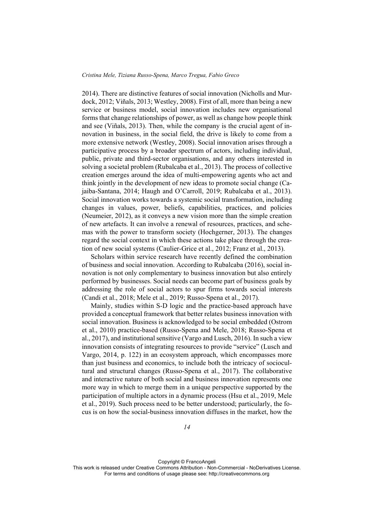2014). There are distinctive features of social innovation (Nicholls and Murdock, 2012; Viñals, 2013; Westley, 2008). First of all, more than being a new service or business model, social innovation includes new organisational forms that change relationships of power, as well as change how people think and see (Viñals, 2013). Then, while the company is the crucial agent of innovation in business, in the social field, the drive is likely to come from a more extensive network (Westley, 2008). Social innovation arises through a participative process by a broader spectrum of actors, including individual, public, private and third-sector organisations, and any others interested in solving a societal problem (Rubalcaba et al., 2013). The process of collective creation emerges around the idea of multi-empowering agents who act and think jointly in the development of new ideas to promote social change (Cajaiba-Santana, 2014; Haugh and O'Carroll, 2019; Rubalcaba et al., 2013). Social innovation works towards a systemic social transformation, including changes in values, power, beliefs, capabilities, practices, and policies (Neumeier, 2012), as it conveys a new vision more than the simple creation of new artefacts. It can involve a renewal of resources, practices, and schemas with the power to transform society (Hochgerner, 2013). The changes regard the social context in which these actions take place through the creation of new social systems (Caulier-Grice et al., 2012; Franz et al., 2013).

Scholars within service research have recently defined the combination of business and social innovation. According to Rubalcaba (2016), social innovation is not only complementary to business innovation but also entirely performed by businesses. Social needs can become part of business goals by addressing the role of social actors to spur firms towards social interests (Candi et al., 2018; Mele et al., 2019; Russo-Spena et al., 2017).

Mainly, studies within S-D logic and the practice-based approach have provided a conceptual framework that better relates business innovation with social innovation. Business is acknowledged to be social embedded (Ostrom et al., 2010) practice-based (Russo-Spena and Mele, 2018; Russo-Spena et al., 2017), and institutional sensitive (Vargo and Lusch, 2016). In such a view innovation consists of integrating resources to provide "service" (Lusch and Vargo, 2014, p. 122) in an ecosystem approach, which encompasses more than just business and economics, to include both the intricacy of sociocultural and structural changes (Russo-Spena et al., 2017). The collaborative and interactive nature of both social and business innovation represents one more way in which to merge them in a unique perspective supported by the participation of multiple actors in a dynamic process (Hsu et al., 2019, Mele et al., 2019). Such process need to be better understood; particularly, the focus is on how the social-business innovation diffuses in the market, how the

Copyright © FrancoAngeli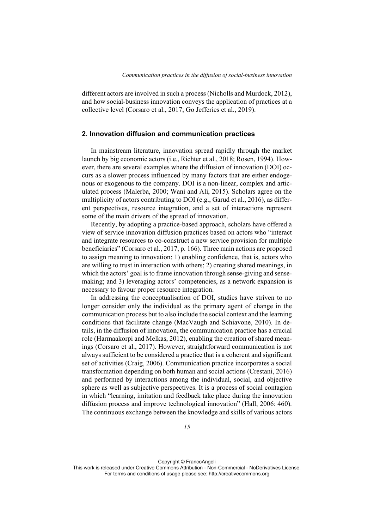different actors are involved in such a process (Nicholls and Murdock, 2012), and how social-business innovation conveys the application of practices at a collective level (Corsaro et al., 2017; Go Jefferies et al., 2019).

# **2. Innovation diffusion and communication practices**

In mainstream literature, innovation spread rapidly through the market launch by big economic actors (i.e., Richter et al., 2018; Rosen, 1994). However, there are several examples where the diffusion of innovation (DOI) occurs as a slower process influenced by many factors that are either endogenous or exogenous to the company. DOI is a non-linear, complex and articulated process (Malerba, 2000; Wani and Ali, 2015). Scholars agree on the multiplicity of actors contributing to DOI (e.g., Garud et al., 2016), as different perspectives, resource integration, and a set of interactions represent some of the main drivers of the spread of innovation.

Recently, by adopting a practice-based approach, scholars have offered a view of service innovation diffusion practices based on actors who "interact and integrate resources to co-construct a new service provision for multiple beneficiaries" (Corsaro et al., 2017, p. 166). Three main actions are proposed to assign meaning to innovation: 1) enabling confidence, that is, actors who are willing to trust in interaction with others; 2) creating shared meanings, in which the actors' goal is to frame innovation through sense-giving and sensemaking; and 3) leveraging actors' competencies, as a network expansion is necessary to favour proper resource integration.

In addressing the conceptualisation of DOI, studies have striven to no longer consider only the individual as the primary agent of change in the communication process but to also include the social context and the learning conditions that facilitate change (MacVaugh and Schiavone, 2010). In details, in the diffusion of innovation, the communication practice has a crucial role (Harmaakorpi and Melkas, 2012), enabling the creation of shared meanings (Corsaro et al., 2017). However, straightforward communication is not always sufficient to be considered a practice that is a coherent and significant set of activities (Craig, 2006). Communication practice incorporates a social transformation depending on both human and social actions (Crestani, 2016) and performed by interactions among the individual, social, and objective sphere as well as subjective perspectives. It is a process of social contagion in which "learning, imitation and feedback take place during the innovation diffusion process and improve technological innovation" (Hall, 2006: 460). The continuous exchange between the knowledge and skills of various actors

Copyright © FrancoAngeli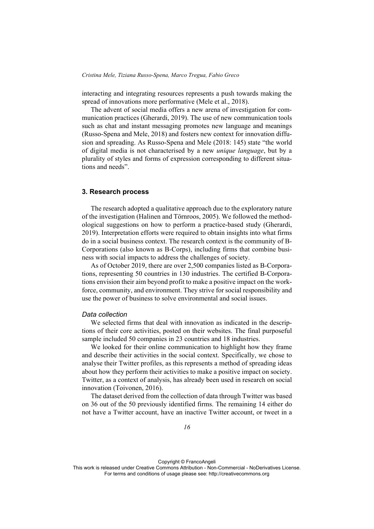interacting and integrating resources represents a push towards making the spread of innovations more performative (Mele et al., 2018).

The advent of social media offers a new arena of investigation for communication practices (Gherardi, 2019). The use of new communication tools such as chat and instant messaging promotes new language and meanings (Russo-Spena and Mele, 2018) and fosters new context for innovation diffusion and spreading. As Russo-Spena and Mele (2018: 145) state "the world of digital media is not characterised by a new *unique language*, but by a plurality of styles and forms of expression corresponding to different situations and needs".

#### **3. Research process**

The research adopted a qualitative approach due to the exploratory nature of the investigation (Halinen and Törnroos, 2005). We followed the methodological suggestions on how to perform a practice-based study (Gherardi, 2019). Interpretation efforts were required to obtain insights into what firms do in a social business context. The research context is the community of B-Corporations (also known as B-Corps), including firms that combine business with social impacts to address the challenges of society.

As of October 2019, there are over 2,500 companies listed as B-Corporations, representing 50 countries in 130 industries. The certified B-Corporations envision their aim beyond profit to make a positive impact on the workforce, community, and environment. They strive for social responsibility and use the power of business to solve environmental and social issues.

### *Data collection*

We selected firms that deal with innovation as indicated in the descriptions of their core activities, posted on their websites. The final purposeful sample included 50 companies in 23 countries and 18 industries.

We looked for their online communication to highlight how they frame and describe their activities in the social context. Specifically, we chose to analyse their Twitter profiles, as this represents a method of spreading ideas about how they perform their activities to make a positive impact on society. Twitter, as a context of analysis, has already been used in research on social innovation (Toivonen, 2016).

The dataset derived from the collection of data through Twitter was based on 36 out of the 50 previously identified firms. The remaining 14 either do not have a Twitter account, have an inactive Twitter account, or tweet in a

Copyright © FrancoAngeli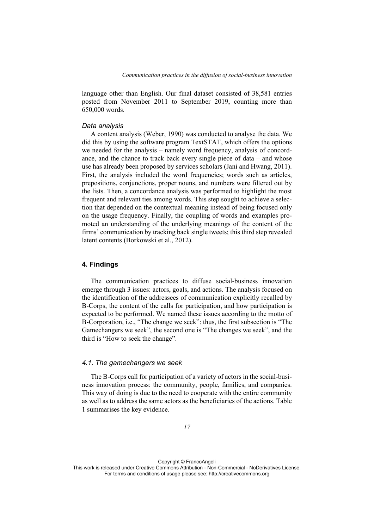language other than English. Our final dataset consisted of 38,581 entries posted from November 2011 to September 2019, counting more than 650,000 words.

### *Data analysis*

A content analysis (Weber, 1990) was conducted to analyse the data. We did this by using the software program TextSTAT, which offers the options we needed for the analysis – namely word frequency, analysis of concordance, and the chance to track back every single piece of data – and whose use has already been proposed by services scholars (Jani and Hwang, 2011). First, the analysis included the word frequencies; words such as articles, prepositions, conjunctions, proper nouns, and numbers were filtered out by the lists. Then, a concordance analysis was performed to highlight the most frequent and relevant ties among words. This step sought to achieve a selection that depended on the contextual meaning instead of being focused only on the usage frequency. Finally, the coupling of words and examples promoted an understanding of the underlying meanings of the content of the firms' communication by tracking back single tweets; this third step revealed latent contents (Borkowski et al., 2012).

# **4. Findings**

The communication practices to diffuse social-business innovation emerge through 3 issues: actors, goals, and actions. The analysis focused on the identification of the addressees of communication explicitly recalled by B-Corps, the content of the calls for participation, and how participation is expected to be performed. We named these issues according to the motto of B-Corporation, i.e., "The change we seek": thus, the first subsection is "The Gamechangers we seek", the second one is "The changes we seek", and the third is "How to seek the change".

#### *4.1. The gamechangers we seek*

The B-Corps call for participation of a variety of actors in the social-business innovation process: the community, people, families, and companies. This way of doing is due to the need to cooperate with the entire community as well as to address the same actors as the beneficiaries of the actions. Table 1 summarises the key evidence.

Copyright © FrancoAngeli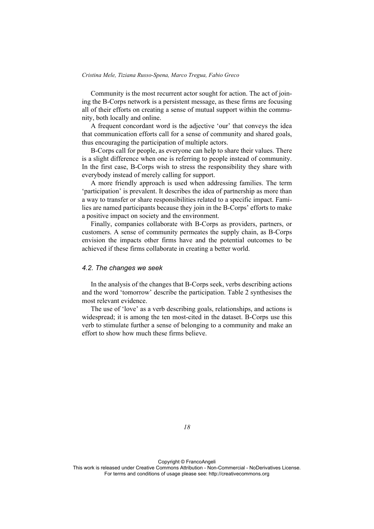Community is the most recurrent actor sought for action. The act of joining the B-Corps network is a persistent message, as these firms are focusing all of their efforts on creating a sense of mutual support within the community, both locally and online.

A frequent concordant word is the adjective 'our' that conveys the idea that communication efforts call for a sense of community and shared goals, thus encouraging the participation of multiple actors.

B-Corps call for people, as everyone can help to share their values. There is a slight difference when one is referring to people instead of community. In the first case, B-Corps wish to stress the responsibility they share with everybody instead of merely calling for support.

A more friendly approach is used when addressing families. The term 'participation' is prevalent. It describes the idea of partnership as more than a way to transfer or share responsibilities related to a specific impact. Families are named participants because they join in the B-Corps' efforts to make a positive impact on society and the environment.

Finally, companies collaborate with B-Corps as providers, partners, or customers. A sense of community permeates the supply chain, as B-Corps envision the impacts other firms have and the potential outcomes to be achieved if these firms collaborate in creating a better world.

### *4.2. The changes we seek*

In the analysis of the changes that B-Corps seek, verbs describing actions and the word 'tomorrow' describe the participation. Table 2 synthesises the most relevant evidence.

The use of 'love' as a verb describing goals, relationships, and actions is widespread; it is among the ten most-cited in the dataset. B-Corps use this verb to stimulate further a sense of belonging to a community and make an effort to show how much these firms believe.

*18* 

Copyright © FrancoAngeli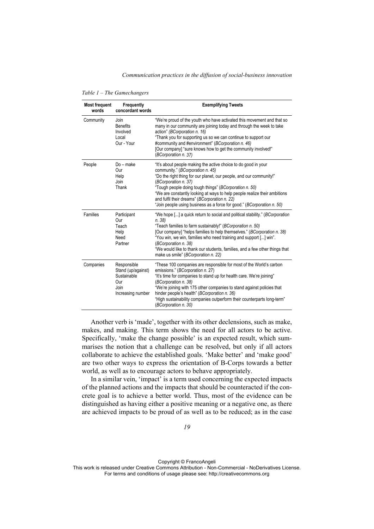#### *Communication practices in the diffusion of social-business innovation*

| <b>Most frequent</b><br>words | Frequently<br>concordant words                                                       | <b>Exemplifying Tweets</b>                                                                                                                                                                                                                                                                                                                                                                                                                                          |
|-------------------------------|--------------------------------------------------------------------------------------|---------------------------------------------------------------------------------------------------------------------------------------------------------------------------------------------------------------------------------------------------------------------------------------------------------------------------------------------------------------------------------------------------------------------------------------------------------------------|
| Community                     | Join<br><b>Benefits</b><br>Involved<br>Local<br>Our - Your                           | "We're proud of the youth who have activated this movement and that so<br>many in our community are joining today and through the week to take<br>action" (BCorporation n. 16)<br>"Thank you for supporting us so we can continue to support our<br>#community and #environment" (BCorporation n. 46)<br>[Our company] "sure knows how to get the community involved!"<br>(BCorporation n. 37)                                                                      |
| People                        | $Do$ – make<br>Our<br>Help<br>Join<br>Thank                                          | "It's about people making the active choice to do good in your<br>community." (BCorporation n. 45)<br>"Do the right thing for our planet, our people, and our community!"<br>(BCorporation n. 37)<br>"Tough people doing tough things" (BCorporation n. 50)<br>"We are constantly looking at ways to help people realize their ambitions<br>and fulfil their dreams" (BCorporation n. 22)<br>"Join people using business as a force for good." (BCorporation n. 50) |
| Families                      | Participant<br>Our<br>Teach<br>Help<br>Need<br>Partner                               | "We hope [] a quick return to social and political stability." (BCorporation<br>n.38<br>"Teach families to farm sustainably!" (BCorporation n. 50)<br>[Our company] "helps families to help themselves." (BCorporation n. 38)<br>"You win, we win, families who need training and support [] win".<br>(BCorporation n. 38)<br>"We would like to thank our students, families, and a few other things that<br>make us smile" (BCorporation n. 22)                    |
| Companies                     | Responsible<br>Stand (up/against)<br>Sustainable<br>Our<br>Join<br>Increasing number | "These 100 companies are responsible for most of the World's carbon<br>emissions." (BCorporation n. 27)<br>"It's time for companies to stand up for health care. We're joining"<br>(BCorporation n. 38)<br>"We're joining with 175 other companies to stand against policies that<br>hinder people's health" (BCorporation n. 36)<br>"High sustainability companies outperform their counterparts long-term"<br>(BCorporation n. 30)                                |

*Table 1 – The Gamechangers* 

Another verb is 'made', together with its other declensions, such as make, makes, and making. This term shows the need for all actors to be active. Specifically, 'make the change possible' is an expected result, which summarises the notion that a challenge can be resolved, but only if all actors collaborate to achieve the established goals. 'Make better' and 'make good' are two other ways to express the orientation of B-Corps towards a better world, as well as to encourage actors to behave appropriately.

In a similar vein, 'impact' is a term used concerning the expected impacts of the planned actions and the impacts that should be counteracted if the concrete goal is to achieve a better world. Thus, most of the evidence can be distinguished as having either a positive meaning or a negative one, as there are achieved impacts to be proud of as well as to be reduced; as in the case

Copyright © FrancoAngeli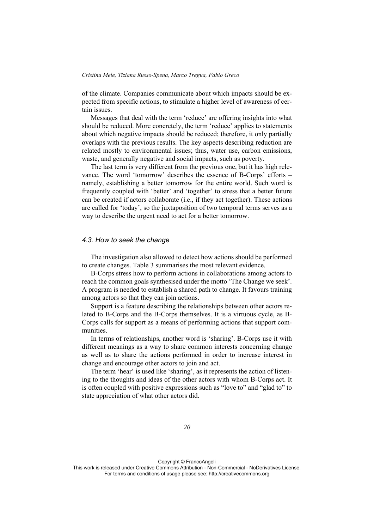of the climate. Companies communicate about which impacts should be expected from specific actions, to stimulate a higher level of awareness of certain issues.

Messages that deal with the term 'reduce' are offering insights into what should be reduced. More concretely, the term 'reduce' applies to statements about which negative impacts should be reduced; therefore, it only partially overlaps with the previous results. The key aspects describing reduction are related mostly to environmental issues; thus, water use, carbon emissions, waste, and generally negative and social impacts, such as poverty.

The last term is very different from the previous one, but it has high relevance. The word 'tomorrow' describes the essence of B-Corps' efforts – namely, establishing a better tomorrow for the entire world. Such word is frequently coupled with 'better' and 'together' to stress that a better future can be created if actors collaborate (i.e., if they act together). These actions are called for 'today', so the juxtaposition of two temporal terms serves as a way to describe the urgent need to act for a better tomorrow.

#### *4.3. How to seek the change*

The investigation also allowed to detect how actions should be performed to create changes. Table 3 summarises the most relevant evidence.

B-Corps stress how to perform actions in collaborations among actors to reach the common goals synthesised under the motto 'The Change we seek'. A program is needed to establish a shared path to change. It favours training among actors so that they can join actions.

Support is a feature describing the relationships between other actors related to B-Corps and the B-Corps themselves. It is a virtuous cycle, as B-Corps calls for support as a means of performing actions that support communities.

In terms of relationships, another word is 'sharing'. B-Corps use it with different meanings as a way to share common interests concerning change as well as to share the actions performed in order to increase interest in change and encourage other actors to join and act.

The term 'hear' is used like 'sharing', as it represents the action of listening to the thoughts and ideas of the other actors with whom B-Corps act. It is often coupled with positive expressions such as "love to" and "glad to" to state appreciation of what other actors did.

Copyright © FrancoAngeli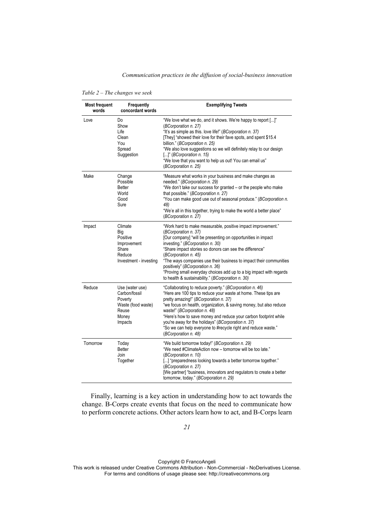### *Communication practices in the diffusion of social-business innovation*

| <b>Most frequent</b><br>words | Frequently<br>concordant words                                                                 | <b>Exemplifying Tweets</b>                                                                                                                                                                                                                                                                                                                                                                                                                                                                                        |
|-------------------------------|------------------------------------------------------------------------------------------------|-------------------------------------------------------------------------------------------------------------------------------------------------------------------------------------------------------------------------------------------------------------------------------------------------------------------------------------------------------------------------------------------------------------------------------------------------------------------------------------------------------------------|
| Love                          | Do<br>Show<br>Life<br>Clean<br>You<br>Spread<br>Suggestion                                     | "We love what we do, and it shows. We're happy to report []"<br>(BCorporation n. 27)<br>"It's as simple as this. love life!" (BCorporation n. 37)<br>[They] "showed their love for their fave spots, and spent \$15.4<br>billion." (BCorporation n. 25)<br>"We also love suggestions so we will definitely relay to our design<br>[]" (BCorporation n. 15)<br>"We love that you want to help us out! You can email us"<br>(BCorporation n. 25)                                                                    |
| Make                          | Change<br>Possible<br><b>Better</b><br>World<br>Good<br>Sure                                   | "Measure what works in your business and make changes as<br>needed." (BCorporation n. 29)<br>"We don't take our success for granted - or the people who make<br>that possible." (BCorporation n. 27)<br>"You can make good use out of seasonal produce." (BCorporation n.<br>48)<br>"We'e all in this together, trying to make the world a better place"<br>(BCorporation n. 27)                                                                                                                                  |
| Impact                        | Climate<br>Big<br>Positive<br>Improvement<br>Share<br>Reduce<br>Investment - investing         | "Work hard to make measurable, positive impact improvement."<br>(BCorporation n. 37)<br>[Our company] "will be presenting on opportunities in impact<br>investing." (BCorporation n. 30)<br>"Share impact stories so donors can see the difference"<br>(BCorporation n. 45)<br>"The ways companies use their business to impact their communities<br>positively" (BCorporation n. 36)<br>"Proving small everyday choices add up to a big impact with regards<br>to health & sustainability." (BCorporation n. 30) |
| Reduce                        | Use (water use)<br>Carbon/fossil<br>Poverty<br>Waste (food waste)<br>Reuse<br>Money<br>Impacts | "Collaborating to reduce poverty." (BCorporation n. 46)<br>"Here are 100 tips to reduce your waste at home. These tips are<br>pretty amazing!" (BCorporation n. 37)<br>"we focus on health, organization, & saving money, but also reduce<br>waste!" (BCorporation n. 48)<br>"Here's how to save money and reduce your carbon footprint while<br>you're away for the holidays" (BCorporation n. 37)<br>"So we can help everyone to #recycle right and reduce waste."<br>(BCorporation n. 48)                      |
| Tomorrow                      | Today<br><b>Better</b><br>Join<br>Together                                                     | "We build tomorrow today!" (BCorporation n. 29)<br>"We need #ClimateAction now - tomorrow will be too late."<br>(BCorporation n. 10)<br>[] "preparedness looking towards a better tomorrow together."<br>(BCorporation n. 27)<br>[We partner] "business, innovators and regulators to create a better<br>tomorrow, today." (BCorporation n. 29)                                                                                                                                                                   |

*Table 2 – The changes we seek* 

Finally, learning is a key action in understanding how to act towards the change. B-Corps create events that focus on the need to communicate how to perform concrete actions. Other actors learn how to act, and B-Corps learn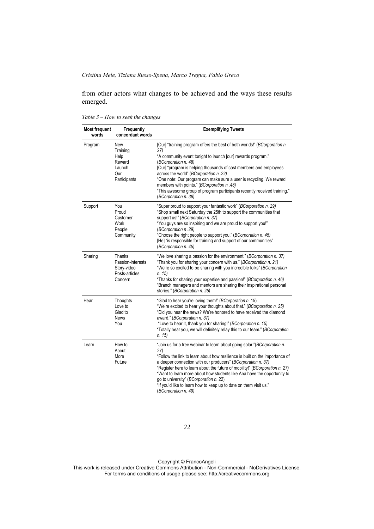from other actors what changes to be achieved and the ways these results emerged.

| <b>Most frequent</b><br>words | Frequently<br>concordant words                                          | <b>Exemplifying Tweets</b>                                                                                                                                                                                                                                                                                                                                                                                                                                                                                                       |
|-------------------------------|-------------------------------------------------------------------------|----------------------------------------------------------------------------------------------------------------------------------------------------------------------------------------------------------------------------------------------------------------------------------------------------------------------------------------------------------------------------------------------------------------------------------------------------------------------------------------------------------------------------------|
| Program                       | New<br>Training<br>Help<br>Reward<br>Launch<br>Our<br>Participants      | [Our] "training program offers the best of both worlds!" (BCorporation n.<br>27)<br>"A community event tonight to launch [our] rewards program."<br>(BCorporation n. 48)<br>[Our] "program is helping thousands of cast members and employees<br>across the world" (BCorporation n.22)<br>"One note: Our program can make sure a user is recycling. We reward<br>members with points." (BCorporation n.48)<br>"This awesome group of program participants recently received training."<br>(BCorporation n. 38)                   |
| Support                       | You<br>Proud<br>Customer<br><b>Work</b><br>People<br>Community          | "Super proud to support your fantastic work" (BCorporation n. 29)<br>"Shop small next Saturday the 25th to support the communities that<br>support us!" (BCorporation n. 37)<br>"You guys are so inspiring and we are proud to support you!"<br>(BCorporation n.29)<br>"Choose the right people to support you." (BCorporation n. 45)<br>[He] "is responsible for training and support of our communities"<br>(BCorporation n. 45)                                                                                               |
| Sharing                       | Thanks<br>Passion-interests<br>Story-video<br>Posts-articles<br>Concern | "We love sharing a passion for the environment." (BCorporation n. 37)<br>"Thank you for sharing your concern with us." (BCorporation n. 21)<br>"We're so excited to be sharing with you incredible folks" (BCorporation<br>n. 15)<br>"Thanks for sharing your expertise and passion!" (BCorporation n. 46)<br>"Branch managers and mentors are sharing their inspirational personal<br>stories." (BCorporation n. 25)                                                                                                            |
| Hear                          | Thoughts<br>Love to<br>Glad to<br>News<br>You                           | "Glad to hear you're loving them!" (BCorporation n. 15)<br>"We're excited to hear your thoughts about that." (BCorporation n. 25)<br>"Did you hear the news? We're honored to have received the diamond<br>award." (BCorporation n. 37)<br>"Love to hear it, thank you for sharing!" (BCorporation n. 15)<br>"Totally hear you, we will definitely relay this to our team." (BCorporation<br>n. 15                                                                                                                               |
| Learn                         | How to<br>About<br>More<br>Future                                       | "Join us for a free webinar to learn about going solar!"(BCorporation n.<br>27)<br>"Follow the link to learn about how resilience is built on the importance of<br>a deeper connection with our producers" (BCorporation n. 37)<br>"Register here to learn about the future of mobility!" (BCorporation n. 27)<br>"Want to learn more about how students like Ana have the opportunity to<br>go to university" (BCorporation n. 22)<br>"If you'd like to learn how to keep up to date on them visit us."<br>(BCorporation n. 49) |

*Table 3 – How to seek the changes* 

*22* 

Copyright © FrancoAngeli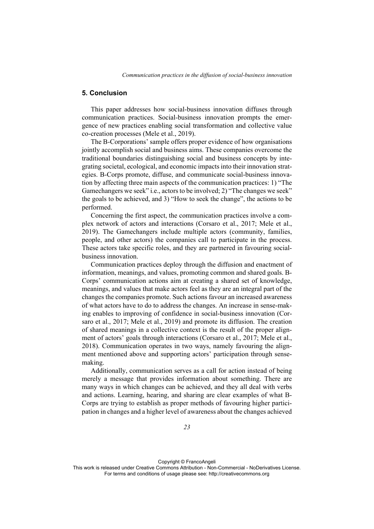# **5. Conclusion**

This paper addresses how social-business innovation diffuses through communication practices. Social-business innovation prompts the emergence of new practices enabling social transformation and collective value co-creation processes (Mele et al., 2019).

The B-Corporations' sample offers proper evidence of how organisations jointly accomplish social and business aims. These companies overcome the traditional boundaries distinguishing social and business concepts by integrating societal, ecological, and economic impacts into their innovation strategies. B-Corps promote, diffuse, and communicate social-business innovation by affecting three main aspects of the communication practices: 1) "The Gamechangers we seek" i.e., actors to be involved; 2) "The changes we seek" the goals to be achieved, and 3) "How to seek the change", the actions to be performed.

Concerning the first aspect, the communication practices involve a complex network of actors and interactions (Corsaro et al., 2017; Mele et al., 2019). The Gamechangers include multiple actors (community, families, people, and other actors) the companies call to participate in the process. These actors take specific roles, and they are partnered in favouring socialbusiness innovation.

Communication practices deploy through the diffusion and enactment of information, meanings, and values, promoting common and shared goals. B-Corps' communication actions aim at creating a shared set of knowledge, meanings, and values that make actors feel as they are an integral part of the changes the companies promote. Such actions favour an increased awareness of what actors have to do to address the changes. An increase in sense-making enables to improving of confidence in social-business innovation (Corsaro et al., 2017; Mele et al., 2019) and promote its diffusion. The creation of shared meanings in a collective context is the result of the proper alignment of actors' goals through interactions (Corsaro et al., 2017; Mele et al., 2018). Communication operates in two ways, namely favouring the alignment mentioned above and supporting actors' participation through sensemaking.

Additionally, communication serves as a call for action instead of being merely a message that provides information about something. There are many ways in which changes can be achieved, and they all deal with verbs and actions. Learning, hearing, and sharing are clear examples of what B-Corps are trying to establish as proper methods of favouring higher participation in changes and a higher level of awareness about the changes achieved

Copyright © FrancoAngeli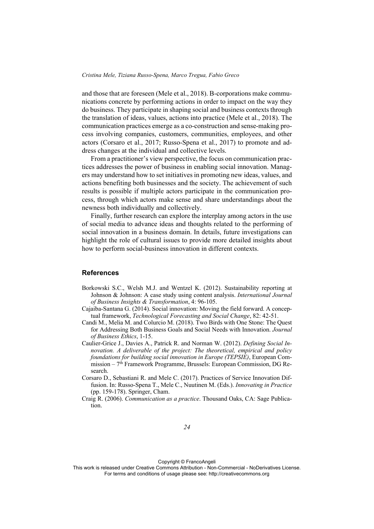and those that are foreseen (Mele et al., 2018). B-corporations make communications concrete by performing actions in order to impact on the way they do business. They participate in shaping social and business contexts through the translation of ideas, values, actions into practice (Mele et al., 2018). The communication practices emerge as a co-construction and sense-making process involving companies, customers, communities, employees, and other actors (Corsaro et al., 2017; Russo-Spena et al., 2017) to promote and address changes at the individual and collective levels.

From a practitioner's view perspective, the focus on communication practices addresses the power of business in enabling social innovation. Managers may understand how to set initiatives in promoting new ideas, values, and actions benefiting both businesses and the society. The achievement of such results is possible if multiple actors participate in the communication process, through which actors make sense and share understandings about the newness both individually and collectively.

Finally, further research can explore the interplay among actors in the use of social media to advance ideas and thoughts related to the performing of social innovation in a business domain. In details, future investigations can highlight the role of cultural issues to provide more detailed insights about how to perform social-business innovation in different contexts.

#### **References**

- Borkowski S.C., Welsh M.J. and Wentzel K. (2012). Sustainability reporting at Johnson & Johnson: A case study using content analysis. *International Journal of Business Insights & Transformation*, 4: 96-105.
- Cajaiba-Santana G. (2014). Social innovation: Moving the field forward. A conceptual framework, *Technological Forecasting and Social Change*, 82: 42-51.
- Candi M., Melia M. and Colurcio M. (2018). Two Birds with One Stone: The Quest for Addressing Both Business Goals and Social Needs with Innovation. *Journal of Business Ethics*, 1-15.
- Caulier-Grice J., Davies A., Patrick R. and Norman W. (2012). *Defining Social Innovation. A deliverable of the project: The theoretical, empirical and policy foundations for building social innovation in Europe (TEPSIE)*, European Commission –  $7<sup>th</sup>$  Framework Programme, Brussels: European Commission, DG Research.
- Corsaro D., Sebastiani R. and Mele C. (2017). Practices of Service Innovation Diffusion. In: Russo-Spena T., Mele C., Nuutinen M. (Eds.). *Innovating in Practice* (pp. 159-178). Springer, Cham.
- Craig R. (2006). *Communication as a practice*. Thousand Oaks, CA: Sage Publication.

Copyright © FrancoAngeli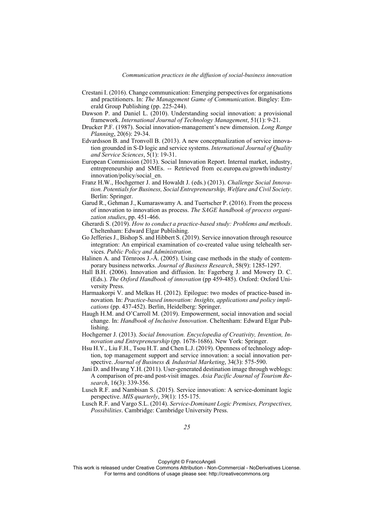- Crestani I. (2016). Change communication: Emerging perspectives for organisations and practitioners. In: *The Management Game of Communication*. Bingley: Emerald Group Publishing (pp. 225-244).
- Dawson P. and Daniel L. (2010). Understanding social innovation: a provisional framework. *International Journal of Technology Management*, 51(1): 9-21.
- Drucker P.F. (1987). Social innovation-management's new dimension. *Long Range Planning*, 20(6): 29-34.
- Edvardsson B. and Tronvoll B. (2013). A new conceptualization of service innovation grounded in S‐D logic and service systems. *International Journal of Quality and Service Sciences*, 5(1): 19-31.
- European Commission (2013). Social Innovation Report. Internal market, industry, entrepreneurship and SMEs. -- Retrieved from ec.europa.eu/growth/industry/ innovation/policy/social\_en.
- Franz H.W., Hochgerner J. and Howaldt J. (eds.) (2013). *Challenge Social Innovation. Potentials for Business, Social Entrepreneurship, Welfare and Civil Society*. Berlin: Springer.
- Garud R., Gehman J., Kumaraswamy A. and Tuertscher P. (2016). From the process of innovation to innovation as process. *The SAGE handbook of process organization studies*, pp. 451-466.
- Gherardi S. (2019). *How to conduct a practice-based study: Problems and methods*. Cheltenham: Edward Elgar Publishing.
- Go Jefferies J., Bishop S. and Hibbert S. (2019). Service innovation through resource integration: An empirical examination of co-created value using telehealth services. *Public Policy and Administration*.
- Halinen A. and Törnroos J.-Å. (2005). Using case methods in the study of contemporary business networks. *Journal of Business Research*, 58(9): 1285-1297.
- Hall B.H. (2006). Innovation and diffusion. In: Fagerberg J. and Mowery D. C. (Eds.). *The Oxford Handbook of innovation* (pp 459-485). Oxford: Oxford University Press.
- Harmaakorpi V. and Melkas H. (2012). Epilogue: two modes of practice-based innovation*.* In: *Practice-based innovation: Insights, applications and policy implications* (pp. 437-452). Berlin, Heidelberg: Springer.
- Haugh H.M. and O'Carroll M. (2019). Empowerment, social innovation and social change. In: *Handbook of Inclusive Innovation*. Cheltenham: Edward Elgar Publishing.
- Hochgerner J. (2013). *Social Innovation. Encyclopedia of Creativity, Invention, Innovation and Entrepreneurship* (pp. 1678-1686). New York: Springer.
- Hsu H.Y., Liu F.H., Tsou H.T. and Chen L.J. (2019). Openness of technology adoption, top management support and service innovation: a social innovation perspective. *Journal of Business & Industrial Marketing*, 34(3): 575-590.
- Jani D. and Hwang Y.H. (2011). User-generated destination image through weblogs: A comparison of pre-and post-visit images. *Asia Pacific Journal of Tourism Research*, 16(3): 339-356.
- Lusch R.F. and Nambisan S. (2015). Service innovation: A service-dominant logic perspective. *MIS quarterly*, 39(1): 155-175.
- Lusch R.F. and Vargo S.L. (2014). *Service-Dominant Logic Premises, Perspectives, Possibilities*. Cambridge: Cambridge University Press.

Copyright © FrancoAngeli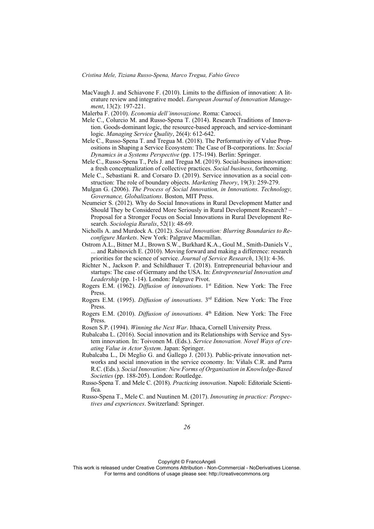- MacVaugh J. and Schiavone F. (2010). Limits to the diffusion of innovation: A literature review and integrative model. *European Journal of Innovation Management*, 13(2): 197-221.
- Malerba F. (2010). *Economia dell'innovazione*. Roma: Carocci.
- Mele C., Colurcio M. and Russo-Spena T. (2014). Research Traditions of Innovation. Goods-dominant logic, the resource-based approach, and service-dominant logic. *Managing Service Quality*, 26(4): 612-642.
- Mele C., Russo-Spena T. and Tregua M. (2018). The Performativity of Value Propositions in Shaping a Service Ecosystem: The Case of B-corporations. In: *Social Dynamics in a Systems Perspective* (pp. 175-194). Berlin: Springer.
- Mele C., Russo-Spena T., Pels J. and Tregua M. (2019). Social-business innovation: a fresh conceptualization of collective practices. *Social business*, forthcoming.
- Mele C., Sebastiani R. and Corsaro D. (2019). Service innovation as a social construction: The role of boundary objects. *Marketing Theory*, 19(3): 259-279.
- Mulgan G. (2006). *The Process of Social Innovation, in Innovations. Technology, Governance, Globalizations*. Boston, MIT Press.
- Neumeier S. (2012). Why do Social Innovations in Rural Development Matter and Should They be Considered More Seriously in Rural Development Research? – Proposal for a Stronger Focus on Social Innovations in Rural Development Research. *Sociologia Ruralis*, 52(1): 48-69.
- Nicholls A. and Murdock A. (2012). *Social Innovation: Blurring Boundaries to Reconfigure Markets*. New York: Palgrave Macmillan.
- Ostrom A.L., Bitner M.J., Brown S.W., Burkhard K.A., Goul M., Smith-Daniels V., ... and Rabinovich E. (2010). Moving forward and making a difference: research priorities for the science of service. *Journal of Service Research*, 13(1): 4-36.
- Richter N., Jackson P. and Schildhauer T. (2018). Entrepreneurial behaviour and startups: The case of Germany and the USA. In: *Entrepreneurial Innovation and Leadership* (pp. 1-14). London: Palgrave Pivot.
- Rogers E.M. (1962). *Diffusion of innovations*. 1st Edition. New York: The Free Press.
- Rogers E.M. (1995). *Diffusion of innovations*. 3rd Edition. New York: The Free Press.
- Rogers E.M. (2010). *Diffusion of innovations*. 4th Edition. New York: The Free Press.
- Rosen S.P. (1994). *Winning the Next War*. Ithaca, Cornell University Press.
- Rubalcaba L. (2016). Social innovation and its Relationships with Service and System innovation. In: Toivonen M. (Eds.). *Service Innovation. Novel Ways of creating Value in Actor System*. Japan: Springer.
- Rubalcaba L., Di Meglio G. and Gallego J. (2013). Public-private innovation networks and social innovation in the service economy. In: Viñals C.R. and Parra R.C. (Eds.). *Social Innovation: New Forms of Organisation in Knowledge-Based Societies* (pp. 188-205). London: Routledge.
- Russo-Spena T. and Mele C. (2018). *Practicing innovation*. Napoli: Editoriale Scientifica.
- Russo-Spena T., Mele C. and Nuutinen M. (2017). *Innovating in practice: Perspectives and experiences*. Switzerland: Springer.

Copyright © FrancoAngeli